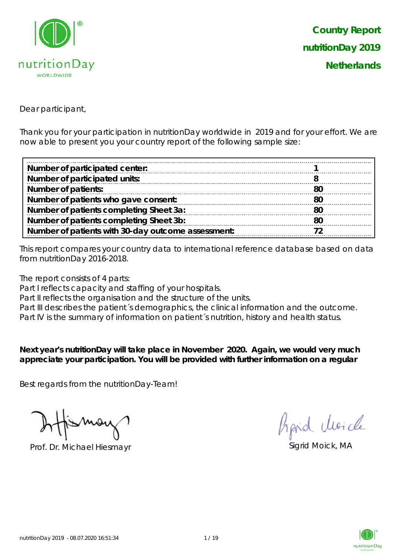

Dear participant,

Thank you for your participation in nutritionDay worldwide in 2019 and for your effort. We are now able to present you your country report of the following sample size:

| Number of participated center:                     |     |
|----------------------------------------------------|-----|
| Number of participated units:                      |     |
| <b>Number of patients:</b>                         | '80 |
| Number of patients who gave consent:               | -80 |
| Number of patients completing Sheet 3a:            | 80  |
| Number of patients completing Sheet 3b:            | 80  |
| Number of patients with 30-day outcome assessment: |     |

This report compares your country data to international reference database based on data from nutritionDay 2016-2018.

The report consists of 4 parts:

Part I reflects capacity and staffing of your hospitals.

Part II reflects the organisation and the structure of the units.

Part III describes the patient's demographics, the clinical information and the outcome.

Part IV is the summary of information on patient´s nutrition, history and health status.

**Next year's nutritionDay will take place in November 2020. Again, we would very much appreciate your participation. You will be provided with further information on a regular** 

Best regards from the nutritionDay-Team!

Prof. Dr. Michael Hiesmayr Sigrid Moick, MA

Aprid Moich

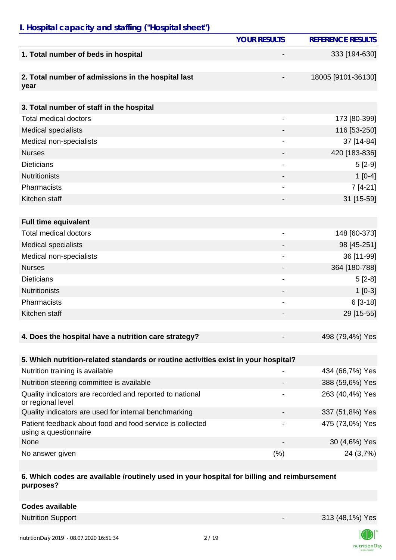## *I. Hospital capacity and staffing ("Hospital sheet")*

|                                                                                    | <b>YOUR RESULTS</b>      | <b>REFERENCE RESULTS</b> |
|------------------------------------------------------------------------------------|--------------------------|--------------------------|
| 1. Total number of beds in hospital                                                |                          | 333 [194-630]            |
| 2. Total number of admissions in the hospital last<br>year                         |                          | 18005 [9101-36130]       |
| 3. Total number of staff in the hospital                                           |                          |                          |
| <b>Total medical doctors</b>                                                       |                          | 173 [80-399]             |
| <b>Medical specialists</b>                                                         |                          | 116 [53-250]             |
| Medical non-specialists                                                            | $\overline{\phantom{a}}$ | 37 [14-84]               |
| <b>Nurses</b>                                                                      |                          | 420 [183-836]            |
| <b>Dieticians</b>                                                                  |                          | $5[2-9]$                 |
| <b>Nutritionists</b>                                                               |                          | $1[0-4]$                 |
| Pharmacists                                                                        |                          | $7[4-21]$                |
| Kitchen staff                                                                      |                          | 31 [15-59]               |
|                                                                                    |                          |                          |
| <b>Full time equivalent</b>                                                        |                          |                          |
| <b>Total medical doctors</b>                                                       | $\overline{\phantom{a}}$ | 148 [60-373]             |
| <b>Medical specialists</b>                                                         |                          | 98 [45-251]              |
| Medical non-specialists                                                            |                          | 36 [11-99]               |
| <b>Nurses</b>                                                                      |                          | 364 [180-788]            |
| <b>Dieticians</b>                                                                  |                          | $5[2-8]$                 |
| <b>Nutritionists</b>                                                               |                          | $1[0-3]$                 |
| Pharmacists                                                                        |                          | $6[3-18]$                |
| Kitchen staff                                                                      |                          | 29 [15-55]               |
|                                                                                    |                          |                          |
| 4. Does the hospital have a nutrition care strategy?                               |                          | 498 (79,4%) Yes          |
|                                                                                    |                          |                          |
| 5. Which nutrition-related standards or routine activities exist in your hospital? |                          |                          |
| Nutrition training is available                                                    |                          | 434 (66,7%) Yes          |
| Nutrition steering committee is available                                          |                          | 388 (59,6%) Yes          |
| Quality indicators are recorded and reported to national<br>or regional level      |                          | 263 (40,4%) Yes          |
| Quality indicators are used for internal benchmarking                              |                          | 337 (51,8%) Yes          |
| Patient feedback about food and food service is collected<br>using a questionnaire |                          | 475 (73,0%) Yes          |
| None                                                                               |                          | 30 (4,6%) Yes            |
| No answer given                                                                    | $(\% )$                  | 24 (3,7%)                |

#### **6. Which codes are available /routinely used in your hospital for billing and reimbursement purposes?**

**Codes available**

Nutrition Support **Nutrition Support** 213 (48,1%) Yes

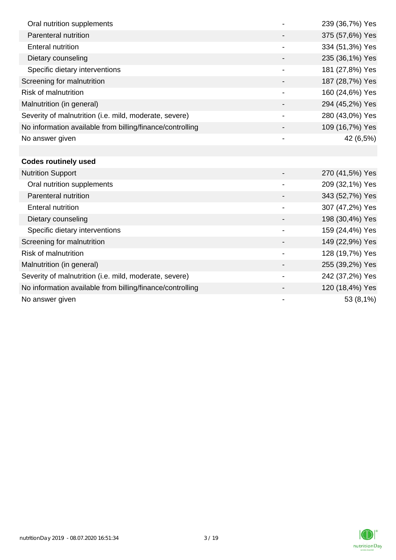| Oral nutrition supplements                                |                          | 239 (36,7%) Yes |
|-----------------------------------------------------------|--------------------------|-----------------|
| Parenteral nutrition                                      |                          | 375 (57,6%) Yes |
| <b>Enteral nutrition</b>                                  |                          | 334 (51,3%) Yes |
| Dietary counseling                                        |                          | 235 (36,1%) Yes |
| Specific dietary interventions                            |                          | 181 (27,8%) Yes |
| Screening for malnutrition                                |                          | 187 (28,7%) Yes |
| <b>Risk of malnutrition</b>                               | -                        | 160 (24,6%) Yes |
| Malnutrition (in general)                                 |                          | 294 (45,2%) Yes |
| Severity of malnutrition (i.e. mild, moderate, severe)    | $\overline{\phantom{a}}$ | 280 (43,0%) Yes |
| No information available from billing/finance/controlling |                          | 109 (16,7%) Yes |
| No answer given                                           |                          | 42 (6,5%)       |
|                                                           |                          |                 |
| <b>Codes routinely used</b>                               |                          |                 |
| <b>Nutrition Support</b>                                  |                          | 270 (41,5%) Yes |
| Oral nutrition supplements                                |                          | 209 (32,1%) Yes |
| Parenteral nutrition                                      |                          | 343 (52,7%) Yes |
| <b>Enteral nutrition</b>                                  |                          | 307 (47,2%) Yes |
| Dietary counseling                                        |                          | 198 (30,4%) Yes |
| Specific dietary interventions                            |                          | 159 (24,4%) Yes |
| Screening for malnutrition                                |                          | 149 (22,9%) Yes |
| <b>Risk of malnutrition</b>                               |                          | 128 (19,7%) Yes |
| Malnutrition (in general)                                 |                          | 255 (39,2%) Yes |
| Severity of malnutrition (i.e. mild, moderate, severe)    |                          | 242 (37,2%) Yes |
| No information available from billing/finance/controlling |                          | 120 (18,4%) Yes |
| No answer given                                           |                          | 53 (8,1%)       |

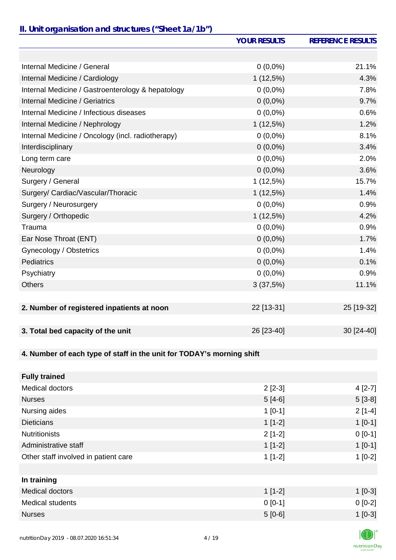### *II. Unit organisation and structures ("Sheet 1a/1b")*

|                                                                       | <b>YOUR RESULTS</b> | <b>REFERENCE RESULTS</b> |
|-----------------------------------------------------------------------|---------------------|--------------------------|
|                                                                       |                     |                          |
| Internal Medicine / General                                           | $0(0,0\%)$          | 21.1%                    |
| Internal Medicine / Cardiology                                        | 1(12,5%)            | 4.3%                     |
| Internal Medicine / Gastroenterology & hepatology                     | $0(0,0\%)$          | 7.8%                     |
| Internal Medicine / Geriatrics                                        | $0(0,0\%)$          | 9.7%                     |
| Internal Medicine / Infectious diseases                               | $0(0,0\%)$          | 0.6%                     |
| Internal Medicine / Nephrology                                        | 1(12,5%)            | 1.2%                     |
| Internal Medicine / Oncology (incl. radiotherapy)                     | $0(0,0\%)$          | 8.1%                     |
| Interdisciplinary                                                     | $0(0,0\%)$          | 3.4%                     |
| Long term care                                                        | $0(0,0\%)$          | 2.0%                     |
| Neurology                                                             | $0(0,0\%)$          | 3.6%                     |
| Surgery / General                                                     | 1(12,5%)            | 15.7%                    |
| Surgery/ Cardiac/Vascular/Thoracic                                    | 1(12,5%)            | 1.4%                     |
| Surgery / Neurosurgery                                                | $0(0,0\%)$          | 0.9%                     |
| Surgery / Orthopedic                                                  | $1(12,5\%)$         | 4.2%                     |
| Trauma                                                                | $0(0,0\%)$          | 0.9%                     |
| Ear Nose Throat (ENT)                                                 | $0(0,0\%)$          | 1.7%                     |
| Gynecology / Obstetrics                                               | $0(0,0\%)$          | 1.4%                     |
| <b>Pediatrics</b>                                                     | $0(0,0\%)$          | 0.1%                     |
| Psychiatry                                                            | $0(0,0\%)$          | 0.9%                     |
| <b>Others</b>                                                         | 3(37,5%)            | 11.1%                    |
|                                                                       |                     |                          |
| 2. Number of registered inpatients at noon                            | 22 [13-31]          | 25 [19-32]               |
|                                                                       |                     |                          |
| 3. Total bed capacity of the unit                                     | 26 [23-40]          | 30 [24-40]               |
|                                                                       |                     |                          |
| 4. Number of each type of staff in the unit for TODAY's morning shift |                     |                          |
|                                                                       |                     |                          |
| <b>Fully trained</b>                                                  |                     |                          |
| <b>Medical doctors</b>                                                | $2[2-3]$            | $4[2-7]$                 |
| <b>Nurses</b>                                                         | $5[4-6]$            | $5[3-8]$                 |
| Nursing aides                                                         | $1[0-1]$            | $2[1-4]$                 |
| <b>Dieticians</b>                                                     | $1[1-2]$            | $1[0-1]$                 |
| <b>Nutritionists</b>                                                  | $2[1-2]$            | $0[0-1]$                 |
| Administrative staff                                                  | $1[1-2]$            | $1[0-1]$                 |
| Other staff involved in patient care                                  | $1[1-2]$            | $1[0-2]$                 |
|                                                                       |                     |                          |
| In training                                                           |                     |                          |

| in training             |           |           |
|-------------------------|-----------|-----------|
| Medical doctors         | $1$ [1-2] | $1[0-3]$  |
| <b>Medical students</b> | $0$ [0-1] | $0 [0-2]$ |
| <b>Nurses</b>           | $5[0-6]$  | $1[0-3]$  |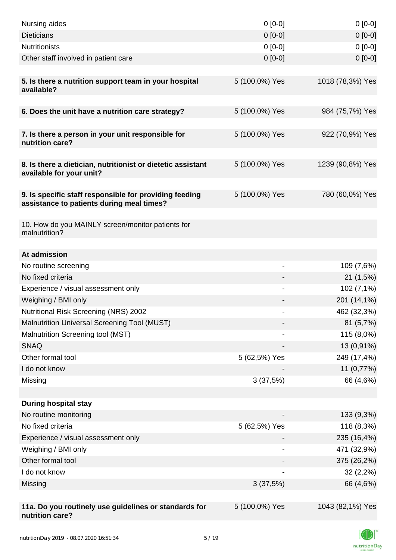| Nursing aides                                                                                       | $0 [0-0]$      | $0[0-0]$         |
|-----------------------------------------------------------------------------------------------------|----------------|------------------|
| <b>Dieticians</b>                                                                                   | $0 [0-0]$      | $0[0-0]$         |
| <b>Nutritionists</b>                                                                                | $0 [0-0]$      | $0[0-0]$         |
| Other staff involved in patient care                                                                | $0 [0-0]$      | $0 [0-0]$        |
| 5. Is there a nutrition support team in your hospital<br>available?                                 | 5 (100,0%) Yes | 1018 (78,3%) Yes |
| 6. Does the unit have a nutrition care strategy?                                                    | 5 (100,0%) Yes | 984 (75,7%) Yes  |
| 7. Is there a person in your unit responsible for<br>nutrition care?                                | 5 (100,0%) Yes | 922 (70,9%) Yes  |
| 8. Is there a dietician, nutritionist or dietetic assistant<br>available for your unit?             | 5 (100,0%) Yes | 1239 (90,8%) Yes |
| 9. Is specific staff responsible for providing feeding<br>assistance to patients during meal times? | 5 (100,0%) Yes | 780 (60,0%) Yes  |
| 10. How do you MAINLY screen/monitor patients for<br>malnutrition?                                  |                |                  |
| At admission                                                                                        |                |                  |
| No routine screening                                                                                | $\overline{a}$ | 109 (7,6%)       |
| No fixed criteria                                                                                   |                | 21(1,5%)         |
| Experience / visual assessment only                                                                 |                | 102(7,1%)        |
| Weighing / BMI only                                                                                 |                | 201 (14,1%)      |
| Nutritional Risk Screening (NRS) 2002                                                               | -              | 462 (32,3%)      |
| Malnutrition Universal Screening Tool (MUST)                                                        |                | 81(5,7%)         |
| Malnutrition Screening tool (MST)                                                                   |                | 115 (8,0%)       |
| <b>SNAQ</b>                                                                                         |                | 13 (0,91%)       |
| Other formal tool                                                                                   | 5 (62,5%) Yes  | 249 (17,4%)      |
| I do not know                                                                                       |                | 11 (0,77%)       |
| Missing                                                                                             | 3(37,5%)       | 66 (4,6%)        |
|                                                                                                     |                |                  |
| <b>During hospital stay</b>                                                                         |                |                  |
| No routine monitoring                                                                               |                | 133 (9,3%)       |
| No fixed criteria                                                                                   | 5 (62,5%) Yes  | 118 (8,3%)       |
| Experience / visual assessment only                                                                 |                | 235 (16,4%)      |
| Weighing / BMI only                                                                                 |                | 471 (32,9%)      |
| Other formal tool                                                                                   |                | 375 (26,2%)      |
| I do not know                                                                                       |                | 32(2,2%)         |
| Missing                                                                                             | 3(37,5%)       | 66 (4,6%)        |
|                                                                                                     |                |                  |
| 11a. Do you routinely use guidelines or standards for<br>nutrition care?                            | 5 (100,0%) Yes | 1043 (82,1%) Yes |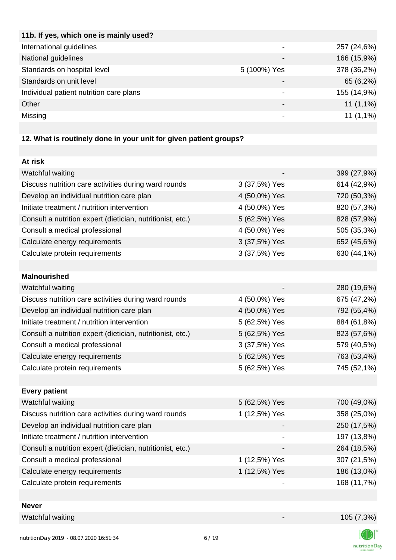| 11b. If yes, which one is mainly used?  |                              |             |
|-----------------------------------------|------------------------------|-------------|
| International guidelines                | $\overline{\phantom{0}}$     | 257 (24,6%) |
| National guidelines                     |                              | 166 (15,9%) |
| Standards on hospital level             | 5 (100%) Yes                 | 378 (36,2%) |
| Standards on unit level                 | $\qquad \qquad \blacksquare$ | 65 (6,2%)   |
| Individual patient nutrition care plans | ۰                            | 155 (14,9%) |
| Other                                   |                              | $11(1,1\%)$ |
| Missing                                 |                              | $11(1,1\%)$ |
|                                         |                              |             |

# **12. What is routinely done in your unit for given patient groups?**

| At risk                                                    |               |             |
|------------------------------------------------------------|---------------|-------------|
| Watchful waiting                                           |               | 399 (27,9%) |
| Discuss nutrition care activities during ward rounds       | 3 (37,5%) Yes | 614 (42,9%) |
| Develop an individual nutrition care plan                  | 4 (50,0%) Yes | 720 (50,3%) |
| Initiate treatment / nutrition intervention                | 4 (50,0%) Yes | 820 (57,3%) |
| Consult a nutrition expert (dietician, nutritionist, etc.) | 5 (62,5%) Yes | 828 (57,9%) |
| Consult a medical professional                             | 4 (50,0%) Yes | 505 (35,3%) |
| Calculate energy requirements                              | 3 (37,5%) Yes | 652 (45,6%) |
| Calculate protein requirements                             | 3 (37,5%) Yes | 630 (44,1%) |
|                                                            |               |             |
| <b>Malnourished</b>                                        |               |             |
| Watchful waiting                                           |               | 280 (19,6%) |
| Discuss nutrition care activities during ward rounds       | 4 (50,0%) Yes | 675 (47,2%) |
| Develop an individual nutrition care plan                  | 4 (50,0%) Yes | 792 (55,4%) |
| Initiate treatment / nutrition intervention                | 5 (62,5%) Yes | 884 (61,8%) |
| Consult a nutrition expert (dietician, nutritionist, etc.) | 5 (62,5%) Yes | 823 (57,6%) |
| Consult a medical professional                             | 3 (37,5%) Yes | 579 (40,5%) |
| Calculate energy requirements                              | 5 (62,5%) Yes | 763 (53,4%) |
| Calculate protein requirements                             | 5 (62,5%) Yes | 745 (52,1%) |
|                                                            |               |             |
| <b>Every patient</b>                                       |               |             |
| Watchful waiting                                           | 5 (62,5%) Yes | 700 (49,0%) |
| Discuss nutrition care activities during ward rounds       | 1 (12,5%) Yes | 358 (25,0%) |
| Develop an individual nutrition care plan                  |               | 250 (17,5%) |
| Initiate treatment / nutrition intervention                |               | 197 (13,8%) |
| Consult a nutrition expert (dietician, nutritionist, etc.) |               | 264 (18,5%) |
| Consult a medical professional                             | 1 (12,5%) Yes | 307 (21,5%) |
| Calculate energy requirements                              | 1 (12,5%) Yes | 186 (13,0%) |
| Calculate protein requirements                             |               | 168 (11,7%) |
|                                                            |               |             |

#### **Never**

Watchful waiting 105 (7,3%)

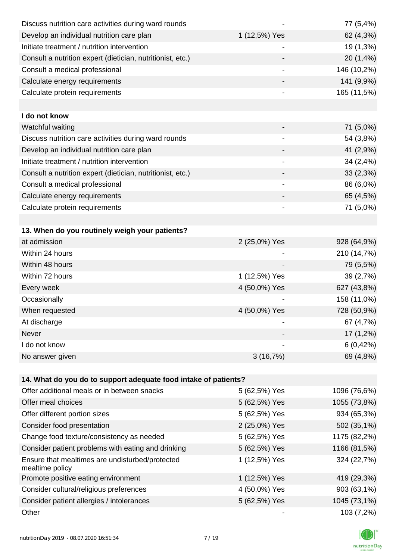| Discuss nutrition care activities during ward rounds               |               | 77 (5,4%)    |
|--------------------------------------------------------------------|---------------|--------------|
| Develop an individual nutrition care plan                          | 1 (12,5%) Yes | 62 (4,3%)    |
| Initiate treatment / nutrition intervention                        | -             | 19 (1,3%)    |
| Consult a nutrition expert (dietician, nutritionist, etc.)         |               | 20 (1,4%)    |
| Consult a medical professional                                     | -             | 146 (10,2%)  |
| Calculate energy requirements                                      |               | 141 (9,9%)   |
| Calculate protein requirements                                     |               | 165 (11,5%)  |
|                                                                    |               |              |
| I do not know                                                      |               |              |
| Watchful waiting                                                   |               | 71 (5,0%)    |
| Discuss nutrition care activities during ward rounds               | -             | 54 (3,8%)    |
| Develop an individual nutrition care plan                          |               | 41 (2,9%)    |
| Initiate treatment / nutrition intervention                        |               | 34(2,4%)     |
| Consult a nutrition expert (dietician, nutritionist, etc.)         |               | 33(2,3%)     |
| Consult a medical professional                                     |               | 86 (6,0%)    |
| Calculate energy requirements                                      |               | 65 (4,5%)    |
| Calculate protein requirements                                     |               | 71 (5,0%)    |
|                                                                    |               |              |
| 13. When do you routinely weigh your patients?                     |               |              |
| at admission                                                       | 2 (25,0%) Yes | 928 (64,9%)  |
| Within 24 hours                                                    |               | 210 (14,7%)  |
| Within 48 hours                                                    |               | 79 (5,5%)    |
| Within 72 hours                                                    | 1 (12,5%) Yes | 39 (2,7%)    |
| Every week                                                         | 4 (50,0%) Yes | 627 (43,8%)  |
| Occasionally                                                       |               | 158 (11,0%)  |
| When requested                                                     | 4 (50,0%) Yes | 728 (50,9%)  |
| At discharge                                                       |               | 67 (4,7%)    |
| <b>Never</b>                                                       |               | $17(1,2\%)$  |
| I do not know                                                      |               | 6(0,42%)     |
| No answer given                                                    | 3(16,7%)      | 69 (4,8%)    |
|                                                                    |               |              |
| 14. What do you do to support adequate food intake of patients?    |               |              |
| Offer additional meals or in between snacks                        | 5 (62,5%) Yes | 1096 (76,6%) |
| Offer meal choices                                                 | 5 (62,5%) Yes | 1055 (73,8%) |
| Offer different portion sizes                                      | 5 (62,5%) Yes | 934 (65,3%)  |
| Consider food presentation                                         | 2 (25,0%) Yes | 502 (35,1%)  |
| Change food texture/consistency as needed                          | 5 (62,5%) Yes | 1175 (82,2%) |
| Consider patient problems with eating and drinking                 | 5 (62,5%) Yes | 1166 (81,5%) |
| Ensure that mealtimes are undisturbed/protected<br>mealtime policy | 1 (12,5%) Yes | 324 (22,7%)  |
| Promote positive eating environment                                | 1 (12,5%) Yes | 419 (29,3%)  |
| Consider cultural/religious preferences                            | 4 (50,0%) Yes | 903 (63,1%)  |
| Consider patient allergies / intolerances                          | 5 (62,5%) Yes | 1045 (73,1%) |
| Other                                                              |               | 103 (7,2%)   |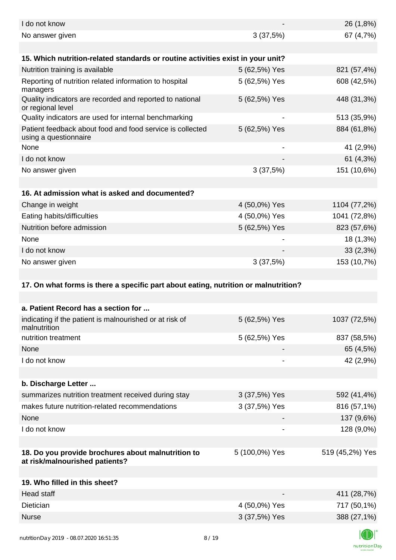| I do not know                                                                        |                          | 26 (1,8%)       |
|--------------------------------------------------------------------------------------|--------------------------|-----------------|
| No answer given                                                                      | 3(37,5%)                 | 67 (4,7%)       |
| 15. Which nutrition-related standards or routine activities exist in your unit?      |                          |                 |
| Nutrition training is available                                                      | 5 (62,5%) Yes            | 821 (57,4%)     |
| Reporting of nutrition related information to hospital<br>managers                   | 5 (62,5%) Yes            | 608 (42,5%)     |
| Quality indicators are recorded and reported to national<br>or regional level        | 5 (62,5%) Yes            | 448 (31,3%)     |
| Quality indicators are used for internal benchmarking                                | $\overline{\phantom{a}}$ | 513 (35,9%)     |
| Patient feedback about food and food service is collected<br>using a questionnaire   | 5 (62,5%) Yes            | 884 (61,8%)     |
| None                                                                                 |                          | 41 (2,9%)       |
| I do not know                                                                        |                          | 61 $(4,3\%)$    |
| No answer given                                                                      | 3(37,5%)                 | 151 (10,6%)     |
|                                                                                      |                          |                 |
| 16. At admission what is asked and documented?                                       |                          |                 |
| Change in weight                                                                     | 4 (50,0%) Yes            | 1104 (77,2%)    |
| Eating habits/difficulties                                                           | 4 (50,0%) Yes            | 1041 (72,8%)    |
| Nutrition before admission                                                           | 5 (62,5%) Yes            | 823 (57,6%)     |
| None                                                                                 |                          | 18 (1,3%)       |
| I do not know                                                                        |                          | 33(2,3%)        |
| No answer given                                                                      | 3(37,5%)                 | 153 (10,7%)     |
| 17. On what forms is there a specific part about eating, nutrition or malnutrition?  |                          |                 |
|                                                                                      |                          |                 |
| a. Patient Record has a section for                                                  |                          |                 |
| indicating if the patient is malnourished or at risk of<br>malnutrition              | 5 (62,5%) Yes            | 1037 (72,5%)    |
| nutrition treatment                                                                  | 5 (62,5%) Yes            | 837 (58,5%)     |
| <b>None</b>                                                                          |                          | 65 (4,5%)       |
| I do not know                                                                        |                          | 42 (2,9%)       |
|                                                                                      |                          |                 |
| b. Discharge Letter                                                                  |                          |                 |
| summarizes nutrition treatment received during stay                                  | 3 (37,5%) Yes            | 592 (41,4%)     |
| makes future nutrition-related recommendations                                       | 3 (37,5%) Yes            | 816 (57,1%)     |
| None                                                                                 |                          | 137 (9,6%)      |
| I do not know                                                                        |                          | 128 (9,0%)      |
|                                                                                      |                          |                 |
| 18. Do you provide brochures about malnutrition to<br>at risk/malnourished patients? | 5 (100,0%) Yes           | 519 (45,2%) Yes |
|                                                                                      |                          |                 |
| 19. Who filled in this sheet?                                                        |                          |                 |
| <b>Head staff</b>                                                                    |                          | 411 (28,7%)     |
| Dietician                                                                            |                          |                 |
|                                                                                      | 4 (50,0%) Yes            | 717 (50,1%)     |
| <b>Nurse</b>                                                                         | 3 (37,5%) Yes            | 388 (27,1%)     |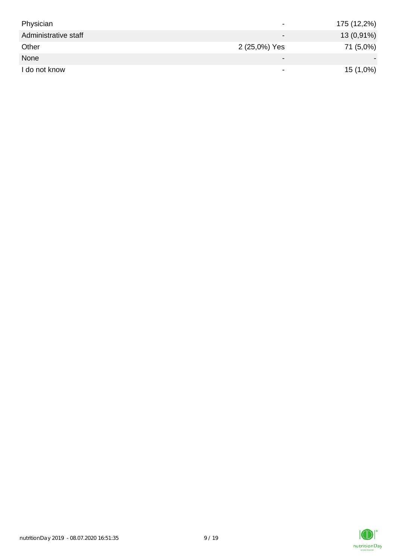| Physician            |                          | 175 (12,2%) |
|----------------------|--------------------------|-------------|
| Administrative staff | $\qquad \qquad$          | 13 (0,91%)  |
| Other                | 2 (25,0%) Yes            | 71 (5,0%)   |
| None                 | $\overline{\phantom{0}}$ |             |
| I do not know        |                          | 15 (1,0%)   |

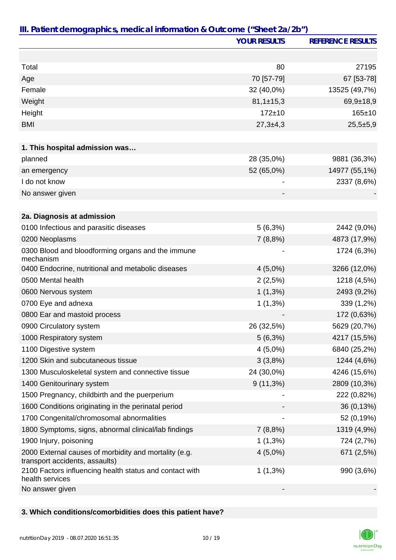|                                                                                         | <b>YOUR RESULTS</b> | <b>REFERENCE RESULTS</b> |
|-----------------------------------------------------------------------------------------|---------------------|--------------------------|
|                                                                                         |                     |                          |
| Total                                                                                   | 80                  | 27195                    |
| Age                                                                                     | 70 [57-79]          | 67 [53-78]               |
| Female                                                                                  | 32 (40,0%)          | 13525 (49,7%)            |
| Weight                                                                                  | $81,1 \pm 15,3$     | $69,9+18,9$              |
| Height                                                                                  | $172 + 10$          | $165 \pm 10$             |
| <b>BMI</b>                                                                              | $27,3+4,3$          | $25,5+5,9$               |
|                                                                                         |                     |                          |
| 1. This hospital admission was                                                          |                     |                          |
| planned                                                                                 | 28 (35,0%)          | 9881 (36,3%)             |
| an emergency                                                                            | 52 (65,0%)          | 14977 (55,1%)            |
| I do not know                                                                           |                     | 2337 (8,6%)              |
| No answer given                                                                         |                     |                          |
|                                                                                         |                     |                          |
| 2a. Diagnosis at admission                                                              |                     |                          |
| 0100 Infectious and parasitic diseases                                                  | $5(6,3\%)$          | 2442 (9,0%)              |
| 0200 Neoplasms                                                                          | 7(8,8%)             | 4873 (17,9%)             |
| 0300 Blood and bloodforming organs and the immune<br>mechanism                          |                     | 1724 (6,3%)              |
| 0400 Endocrine, nutritional and metabolic diseases                                      | $4(5,0\%)$          | 3266 (12,0%)             |
| 0500 Mental health                                                                      | 2(2,5%)             | 1218 (4,5%)              |
| 0600 Nervous system                                                                     | $1(1,3\%)$          | 2493 (9,2%)              |
| 0700 Eye and adnexa                                                                     | $1(1,3\%)$          | 339 (1,2%)               |
| 0800 Ear and mastoid process                                                            |                     | 172 (0,63%)              |
| 0900 Circulatory system                                                                 | 26 (32,5%)          | 5629 (20,7%)             |
| 1000 Respiratory system                                                                 | 5(6,3%)             | 4217 (15,5%)             |
| 1100 Digestive system                                                                   | $4(5,0\%)$          | 6840 (25,2%)             |
| 1200 Skin and subcutaneous tissue                                                       | 3(3,8%)             | 1244 (4,6%)              |
| 1300 Musculoskeletal system and connective tissue                                       | 24 (30,0%)          | 4246 (15,6%)             |
| 1400 Genitourinary system                                                               | $9(11,3\%)$         | 2809 (10,3%)             |
| 1500 Pregnancy, childbirth and the puerperium                                           |                     | 222 (0,82%)              |
| 1600 Conditions originating in the perinatal period                                     |                     | 36 (0,13%)               |
| 1700 Congenital/chromosomal abnormalities                                               |                     | 52 (0,19%)               |
| 1800 Symptoms, signs, abnormal clinical/lab findings                                    | 7(8,8%)             | 1319 (4,9%)              |
| 1900 Injury, poisoning                                                                  | $1(1,3\%)$          | 724 (2,7%)               |
| 2000 External causes of morbidity and mortality (e.g.<br>transport accidents, assaults) | $4(5,0\%)$          | 671 (2,5%)               |
| 2100 Factors influencing health status and contact with<br>health services              | $1(1,3\%)$          | 990 (3,6%)               |
| No answer given                                                                         |                     |                          |

**3. Which conditions/comorbidities does this patient have?**

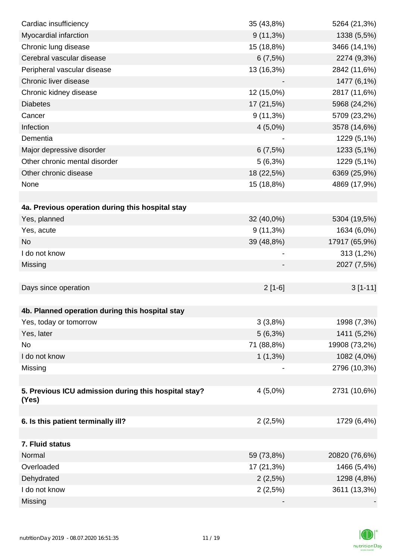| Cardiac insufficiency                                | 35 (43,8%)  | 5264 (21,3%)  |
|------------------------------------------------------|-------------|---------------|
| Myocardial infarction                                | $9(11,3\%)$ | 1338 (5,5%)   |
| Chronic lung disease                                 | 15 (18,8%)  | 3466 (14,1%)  |
| Cerebral vascular disease                            | 6(7,5%)     | 2274 (9,3%)   |
| Peripheral vascular disease                          | 13 (16,3%)  | 2842 (11,6%)  |
| Chronic liver disease                                |             | 1477 (6,1%)   |
| Chronic kidney disease                               | 12 (15,0%)  | 2817 (11,6%)  |
| <b>Diabetes</b>                                      | 17 (21,5%)  | 5968 (24,2%)  |
| Cancer                                               | $9(11,3\%)$ | 5709 (23,2%)  |
| Infection                                            | $4(5,0\%)$  | 3578 (14,6%)  |
| Dementia                                             |             | 1229 (5,1%)   |
| Major depressive disorder                            | 6(7,5%)     | 1233 (5,1%)   |
| Other chronic mental disorder                        | 5(6,3%)     | 1229 (5,1%)   |
| Other chronic disease                                | 18 (22,5%)  | 6369 (25,9%)  |
| None                                                 | 15 (18,8%)  | 4869 (17,9%)  |
|                                                      |             |               |
| 4a. Previous operation during this hospital stay     |             |               |
| Yes, planned                                         | 32 (40,0%)  | 5304 (19,5%)  |
| Yes, acute                                           | $9(11,3\%)$ | 1634 (6,0%)   |
| <b>No</b>                                            | 39 (48,8%)  | 17917 (65,9%) |
| I do not know                                        |             | 313 (1,2%)    |
| Missing                                              |             | 2027 (7,5%)   |
|                                                      |             |               |
| Days since operation                                 | $2[1-6]$    | $3[1-11]$     |
|                                                      |             |               |
| 4b. Planned operation during this hospital stay      |             |               |
| Yes, today or tomorrow                               | 3(3,8%)     | 1998 (7,3%)   |
| Yes, later                                           | 5(6,3%)     | 1411 (5,2%)   |
| No                                                   | 71 (88,8%)  | 19908 (73,2%) |
| I do not know                                        | $1(1,3\%)$  | 1082 (4,0%)   |
| Missing                                              |             | 2796 (10,3%)  |
|                                                      |             |               |
| 5. Previous ICU admission during this hospital stay? | $4(5,0\%)$  | 2731 (10,6%)  |
| (Yes)                                                |             |               |
|                                                      |             |               |
| 6. Is this patient terminally ill?                   | 2(2,5%)     | 1729 (6,4%)   |
| 7. Fluid status                                      |             |               |
| Normal                                               | 59 (73,8%)  | 20820 (76,6%) |
| Overloaded                                           | 17 (21,3%)  | 1466 (5,4%)   |
| Dehydrated                                           | 2(2,5%)     | 1298 (4,8%)   |
| I do not know                                        | 2(2,5%)     | 3611 (13,3%)  |
| Missing                                              |             |               |
|                                                      |             |               |

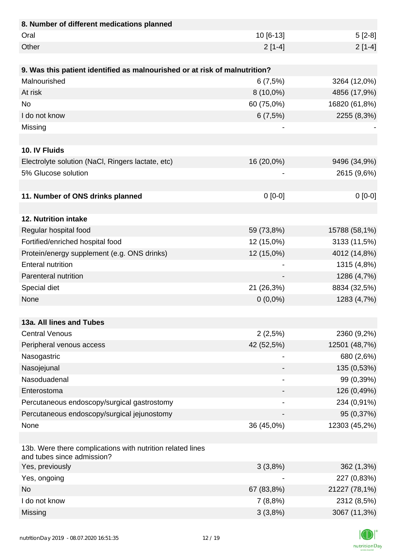| 8. Number of different medications planned                                               |             |               |
|------------------------------------------------------------------------------------------|-------------|---------------|
| Oral                                                                                     | 10 [6-13]   | $5[2-8]$      |
| Other                                                                                    | $2[1-4]$    | $2[1-4]$      |
|                                                                                          |             |               |
| 9. Was this patient identified as malnourished or at risk of malnutrition?               |             |               |
| Malnourished                                                                             | 6(7,5%)     | 3264 (12,0%)  |
| At risk                                                                                  | $8(10,0\%)$ | 4856 (17,9%)  |
| <b>No</b>                                                                                | 60 (75,0%)  | 16820 (61,8%) |
| I do not know                                                                            | 6(7,5%)     | 2255 (8,3%)   |
| Missing                                                                                  |             |               |
|                                                                                          |             |               |
| 10. IV Fluids                                                                            |             |               |
| Electrolyte solution (NaCl, Ringers lactate, etc)                                        | 16 (20,0%)  | 9496 (34,9%)  |
| 5% Glucose solution                                                                      |             | 2615 (9,6%)   |
|                                                                                          |             |               |
| 11. Number of ONS drinks planned                                                         | $0 [0-0]$   | $0[0-0]$      |
|                                                                                          |             |               |
| 12. Nutrition intake                                                                     |             |               |
| Regular hospital food                                                                    | 59 (73,8%)  | 15788 (58,1%) |
| Fortified/enriched hospital food                                                         | 12 (15,0%)  | 3133 (11,5%)  |
| Protein/energy supplement (e.g. ONS drinks)                                              | 12 (15,0%)  | 4012 (14,8%)  |
| <b>Enteral nutrition</b>                                                                 |             | 1315 (4,8%)   |
| Parenteral nutrition                                                                     |             | 1286 (4,7%)   |
| Special diet                                                                             | 21 (26,3%)  | 8834 (32,5%)  |
| None                                                                                     | $0(0,0\%)$  | 1283 (4,7%)   |
|                                                                                          |             |               |
| 13a. All lines and Tubes                                                                 |             |               |
| <b>Central Venous</b>                                                                    | 2(2,5%)     | 2360 (9,2%)   |
| Peripheral venous access                                                                 | 42 (52,5%)  | 12501 (48,7%) |
| Nasogastric                                                                              |             | 680 (2,6%)    |
| Nasojejunal                                                                              |             | 135 (0,53%)   |
| Nasoduadenal                                                                             |             | 99 (0,39%)    |
| Enterostoma                                                                              |             | 126 (0,49%)   |
| Percutaneous endoscopy/surgical gastrostomy                                              |             | 234 (0,91%)   |
| Percutaneous endoscopy/surgical jejunostomy                                              |             | 95 (0,37%)    |
| None                                                                                     | 36 (45,0%)  | 12303 (45,2%) |
|                                                                                          |             |               |
| 13b. Were there complications with nutrition related lines<br>and tubes since admission? |             |               |
| Yes, previously                                                                          | 3(3,8%)     | 362 (1,3%)    |
| Yes, ongoing                                                                             |             | 227 (0,83%)   |
| <b>No</b>                                                                                | 67 (83,8%)  | 21227 (78,1%) |
| I do not know                                                                            | 7(8,8%)     | 2312 (8,5%)   |
| Missing                                                                                  | 3(3,8%)     | 3067 (11,3%)  |

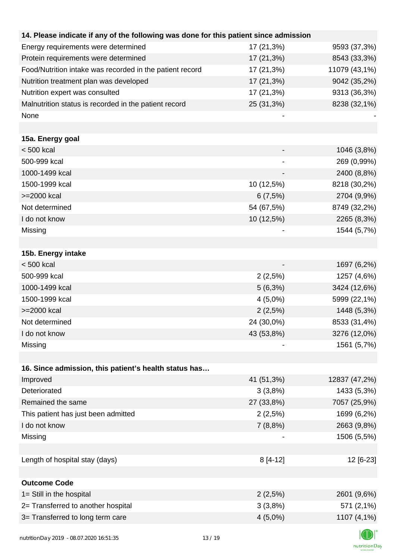| 14. Please indicate if any of the following was done for this patient since admission |            |               |
|---------------------------------------------------------------------------------------|------------|---------------|
| Energy requirements were determined                                                   | 17 (21,3%) | 9593 (37,3%)  |
| Protein requirements were determined                                                  | 17 (21,3%) | 8543 (33,3%)  |
| Food/Nutrition intake was recorded in the patient record                              | 17 (21,3%) | 11079 (43,1%) |
| Nutrition treatment plan was developed                                                | 17 (21,3%) | 9042 (35,2%)  |
| Nutrition expert was consulted                                                        | 17 (21,3%) | 9313 (36,3%)  |
| Malnutrition status is recorded in the patient record                                 | 25 (31,3%) | 8238 (32,1%)  |
| None                                                                                  |            |               |
|                                                                                       |            |               |
| 15a. Energy goal                                                                      |            |               |
| $< 500$ kcal                                                                          |            | 1046 (3,8%)   |
| 500-999 kcal                                                                          |            | 269 (0,99%)   |
| 1000-1499 kcal                                                                        |            | 2400 (8,8%)   |
| 1500-1999 kcal                                                                        | 10 (12,5%) | 8218 (30,2%)  |
| >=2000 kcal                                                                           | 6(7,5%)    | 2704 (9,9%)   |
| Not determined                                                                        | 54 (67,5%) | 8749 (32,2%)  |
| I do not know                                                                         | 10 (12,5%) | 2265 (8,3%)   |
| Missing                                                                               |            | 1544 (5,7%)   |
|                                                                                       |            |               |
| 15b. Energy intake                                                                    |            |               |
| $< 500$ kcal                                                                          |            | 1697 (6,2%)   |
| 500-999 kcal                                                                          | 2(2,5%)    | 1257 (4,6%)   |
| 1000-1499 kcal                                                                        | $5(6,3\%)$ | 3424 (12,6%)  |
| 1500-1999 kcal                                                                        | $4(5,0\%)$ | 5999 (22,1%)  |
| >=2000 kcal                                                                           | 2(2,5%)    | 1448 (5,3%)   |
| Not determined                                                                        | 24 (30,0%) | 8533 (31,4%)  |
| I do not know                                                                         | 43 (53,8%) | 3276 (12,0%)  |
| Missing                                                                               |            | 1561 (5,7%)   |
|                                                                                       |            |               |
| 16. Since admission, this patient's health status has                                 |            |               |
| Improved                                                                              | 41 (51,3%) | 12837 (47,2%) |
| Deteriorated                                                                          | 3(3,8%)    | 1433 (5,3%)   |
| Remained the same                                                                     | 27 (33,8%) | 7057 (25,9%)  |
| This patient has just been admitted                                                   | 2(2,5%)    | 1699 (6,2%)   |
| I do not know                                                                         | 7(8,8%)    | 2663 (9,8%)   |
| Missing                                                                               |            | 1506 (5,5%)   |
|                                                                                       |            |               |
| Length of hospital stay (days)                                                        | 8 [4-12]   | 12 [6-23]     |
|                                                                                       |            |               |
| <b>Outcome Code</b>                                                                   |            |               |
| 1= Still in the hospital                                                              | 2(2,5%)    | 2601 (9,6%)   |
| 2= Transferred to another hospital                                                    | 3(3,8%)    | 571 (2,1%)    |
| 3= Transferred to long term care                                                      | $4(5,0\%)$ | 1107 (4,1%)   |
|                                                                                       |            |               |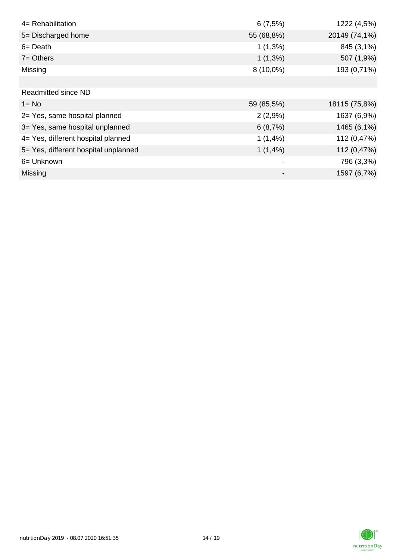| 4= Rehabilitation                    | 6(7,5%)     | 1222 (4,5%)   |
|--------------------------------------|-------------|---------------|
| 5= Discharged home                   | 55 (68,8%)  | 20149 (74,1%) |
| $6 = Death$                          | $1(1,3\%)$  | 845 (3,1%)    |
| $7 =$ Others                         | $1(1,3\%)$  | 507 (1,9%)    |
| Missing                              | $8(10,0\%)$ | 193 (0,71%)   |
|                                      |             |               |
| Readmitted since ND                  |             |               |
| $1 = No$                             | 59 (85,5%)  | 18115 (75,8%) |
| 2= Yes, same hospital planned        | 2(2,9%)     | 1637 (6,9%)   |
| 3= Yes, same hospital unplanned      | 6(8,7%)     | 1465 (6,1%)   |
| 4= Yes, different hospital planned   | 1(1,4%      | 112 (0,47%)   |
| 5= Yes, different hospital unplanned | 1(1,4%)     | 112 (0,47%)   |
| 6= Unknown                           |             | 796 (3,3%)    |
| Missing                              |             | 1597 (6,7%)   |

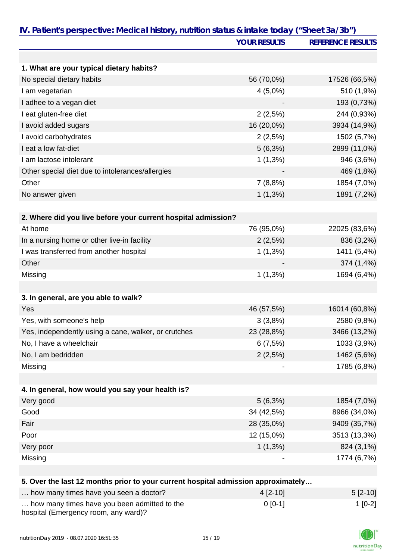|                                                                                   | IV. Patient's perspective: Medical history, nutrition status & intake today ("Sheet 3a/3b") |                          |  |
|-----------------------------------------------------------------------------------|---------------------------------------------------------------------------------------------|--------------------------|--|
|                                                                                   | <b>YOUR RESULTS</b>                                                                         | <b>REFERENCE RESULTS</b> |  |
|                                                                                   |                                                                                             |                          |  |
| 1. What are your typical dietary habits?                                          |                                                                                             |                          |  |
| No special dietary habits                                                         | 56 (70,0%)                                                                                  | 17526 (66,5%)            |  |
| I am vegetarian                                                                   | $4(5,0\%)$                                                                                  | 510 (1,9%)               |  |
| I adhee to a vegan diet                                                           |                                                                                             | 193 (0,73%)              |  |
| I eat gluten-free diet                                                            | 2(2,5%)                                                                                     | 244 (0,93%)              |  |
| I avoid added sugars                                                              | 16 (20,0%)                                                                                  | 3934 (14,9%)             |  |
| I avoid carbohydrates                                                             | 2(2,5%)                                                                                     | 1502 (5,7%)              |  |
| I eat a low fat-diet                                                              | $5(6,3\%)$                                                                                  | 2899 (11,0%)             |  |
| I am lactose intolerant                                                           | $1(1,3\%)$                                                                                  | 946 (3,6%)               |  |
| Other special diet due to intolerances/allergies                                  |                                                                                             | 469 (1,8%)               |  |
| Other                                                                             | 7(8,8%)                                                                                     | 1854 (7,0%)              |  |
| No answer given                                                                   | $1(1,3\%)$                                                                                  | 1891 (7,2%)              |  |
|                                                                                   |                                                                                             |                          |  |
| 2. Where did you live before your current hospital admission?                     |                                                                                             |                          |  |
| At home                                                                           | 76 (95,0%)                                                                                  | 22025 (83,6%)            |  |
| In a nursing home or other live-in facility                                       | 2(2,5%)                                                                                     | 836 (3,2%)               |  |
| I was transferred from another hospital                                           | $1(1,3\%)$                                                                                  | 1411 (5,4%)              |  |
| Other                                                                             |                                                                                             | 374 (1,4%)               |  |
| Missing                                                                           | $1(1,3\%)$                                                                                  | 1694 (6,4%)              |  |
|                                                                                   |                                                                                             |                          |  |
| 3. In general, are you able to walk?                                              |                                                                                             |                          |  |
| Yes                                                                               | 46 (57,5%)                                                                                  | 16014 (60,8%)            |  |
| Yes, with someone's help                                                          | 3(3,8%)                                                                                     | 2580 (9,8%)              |  |
| Yes, independently using a cane, walker, or crutches                              | 23 (28,8%)                                                                                  | 3466 (13,2%)             |  |
| No, I have a wheelchair                                                           | 6(7,5%)                                                                                     | 1033 (3,9%)              |  |
| No, I am bedridden                                                                | 2(2,5%)                                                                                     | 1462 (5,6%)              |  |
| Missing                                                                           |                                                                                             | 1785 (6,8%)              |  |
|                                                                                   |                                                                                             |                          |  |
| 4. In general, how would you say your health is?                                  |                                                                                             |                          |  |
| Very good                                                                         | $5(6,3\%)$                                                                                  | 1854 (7,0%)              |  |
| Good                                                                              | 34 (42,5%)                                                                                  | 8966 (34,0%)             |  |
| Fair                                                                              | 28 (35,0%)                                                                                  | 9409 (35,7%)             |  |
| Poor                                                                              | 12 (15,0%)                                                                                  | 3513 (13,3%)             |  |
| Very poor                                                                         | $1(1,3\%)$                                                                                  | 824 (3,1%)               |  |
| Missing                                                                           |                                                                                             | 1774 (6,7%)              |  |
|                                                                                   |                                                                                             |                          |  |
| 5. Over the last 12 months prior to your current hospital admission approximately |                                                                                             |                          |  |
| how many times have you seen a doctor?                                            | 4 [2-10]                                                                                    | $5[2-10]$                |  |
| how many times have you been admitted to the                                      | $0 [0-1]$                                                                                   | $1[0-2]$                 |  |
|                                                                                   |                                                                                             |                          |  |

| how many times have you been admitted to the |  |
|----------------------------------------------|--|
| hospital (Emergency room, any ward)?         |  |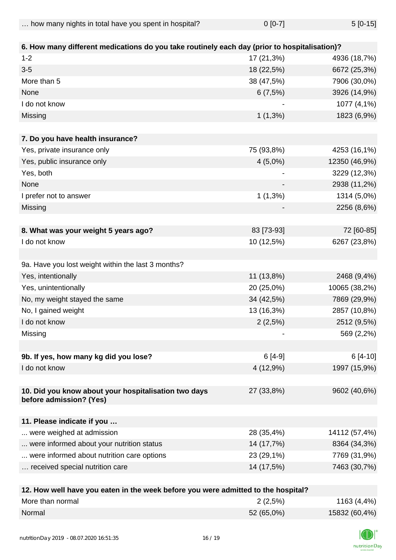| how many nights in total have you spent in hospital? | $0$ [0-7] | $5[0-15]$ |
|------------------------------------------------------|-----------|-----------|
|                                                      |           |           |

| 6. How many different medications do you take routinely each day (prior to hospitalisation)? |                          |               |
|----------------------------------------------------------------------------------------------|--------------------------|---------------|
| $1 - 2$                                                                                      | 17 (21,3%)               | 4936 (18,7%)  |
| $3-5$                                                                                        | 18 (22,5%)               | 6672 (25,3%)  |
| More than 5                                                                                  | 38 (47,5%)               | 7906 (30,0%)  |
| None                                                                                         | 6(7,5%)                  | 3926 (14,9%)  |
| I do not know                                                                                |                          | 1077 (4,1%)   |
| Missing                                                                                      | $1(1,3\%)$               | 1823 (6,9%)   |
| 7. Do you have health insurance?                                                             |                          |               |
| Yes, private insurance only                                                                  | 75 (93,8%)               | 4253 (16,1%)  |
| Yes, public insurance only                                                                   | $4(5,0\%)$               | 12350 (46,9%) |
| Yes, both                                                                                    |                          | 3229 (12,3%)  |
| None                                                                                         |                          | 2938 (11,2%)  |
| I prefer not to answer                                                                       | $1(1,3\%)$               | 1314 (5,0%)   |
| Missing                                                                                      |                          | 2256 (8,6%)   |
|                                                                                              |                          |               |
| 8. What was your weight 5 years ago?                                                         | 83 [73-93]               | 72 [60-85]    |
| I do not know                                                                                | 10 (12,5%)               | 6267 (23,8%)  |
|                                                                                              |                          |               |
| 9a. Have you lost weight within the last 3 months?                                           |                          |               |
| Yes, intentionally                                                                           | 11 (13,8%)               | 2468 (9,4%)   |
| Yes, unintentionally                                                                         | 20 (25,0%)               | 10065 (38,2%) |
| No, my weight stayed the same                                                                | 34 (42,5%)               | 7869 (29,9%)  |
| No, I gained weight                                                                          | 13 (16,3%)               | 2857 (10,8%)  |
| I do not know                                                                                | 2(2,5%)                  | 2512 (9,5%)   |
| Missing                                                                                      |                          | 569 (2,2%)    |
|                                                                                              |                          |               |
| 9b. If yes, how many kg did you lose?                                                        | $6[4-9]$                 | $6[4-10]$     |
| I do not know                                                                                | 4 (12,9%)                | 1997 (15,9%)  |
| 10. Did you know about your hospitalisation two days<br>before admission? (Yes)              | 27 (33,8%)               | 9602 (40,6%)  |
| 11. Please indicate if you                                                                   |                          |               |
| were weighed at admission                                                                    | 28 (35,4%)               | 14112 (57,4%) |
| were informed about your nutrition status                                                    | 14 (17,7%)               | 8364 (34,3%)  |
| were informed about nutrition care options                                                   | 23 (29,1%)               | 7769 (31,9%)  |
| received special nutrition care                                                              | 14 (17,5%)               | 7463 (30,7%)  |
|                                                                                              |                          |               |
| 49 Haw well have you esten in the week hefere you we                                         | cittaal ta tha haanital? |               |

| 12. How well have you eaten in the week before you were admitted to the hospital? |            |               |
|-----------------------------------------------------------------------------------|------------|---------------|
| More than normal                                                                  | 2(2,5%)    | 1163 (4,4%)   |
| Normal                                                                            | 52 (65,0%) | 15832 (60,4%) |

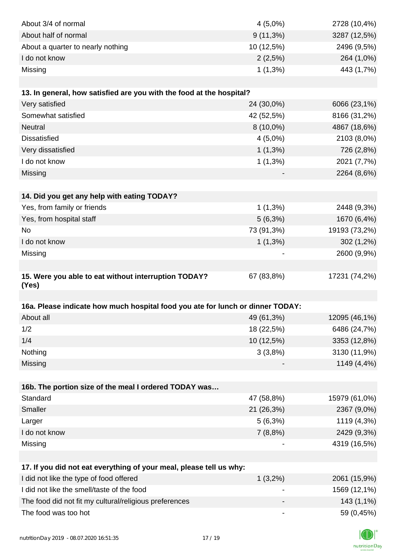| About 3/4 of normal                                                            | $4(5,0\%)$               | 2728 (10,4%)  |
|--------------------------------------------------------------------------------|--------------------------|---------------|
| About half of normal                                                           | $9(11,3\%)$              | 3287 (12,5%)  |
| About a quarter to nearly nothing                                              | 10 (12,5%)               | 2496 (9,5%)   |
| I do not know                                                                  | 2(2,5%)                  | 264 (1,0%)    |
| Missing                                                                        | $1(1,3\%)$               | 443 (1,7%)    |
|                                                                                |                          |               |
| 13. In general, how satisfied are you with the food at the hospital?           |                          |               |
| Very satisfied                                                                 | 24 (30,0%)               | 6066 (23,1%)  |
| Somewhat satisfied                                                             | 42 (52,5%)               | 8166 (31,2%)  |
| <b>Neutral</b>                                                                 | 8 (10,0%)                | 4867 (18,6%)  |
| <b>Dissatisfied</b>                                                            | $4(5,0\%)$               | 2103 (8,0%)   |
| Very dissatisfied                                                              | $1(1,3\%)$               | 726 (2,8%)    |
| I do not know                                                                  | $1(1,3\%)$               | 2021 (7,7%)   |
| Missing                                                                        |                          | 2264 (8,6%)   |
|                                                                                |                          |               |
| 14. Did you get any help with eating TODAY?                                    |                          |               |
| Yes, from family or friends                                                    | $1(1,3\%)$               | 2448 (9,3%)   |
| Yes, from hospital staff                                                       | $5(6,3\%)$               | 1670 (6,4%)   |
| <b>No</b>                                                                      | 73 (91,3%)               | 19193 (73,2%) |
| I do not know                                                                  | $1(1,3\%)$               | 302 (1,2%)    |
| Missing                                                                        |                          | 2600 (9,9%)   |
|                                                                                |                          |               |
| 15. Were you able to eat without interruption TODAY?                           | 67 (83,8%)               | 17231 (74,2%) |
| (Yes)                                                                          |                          |               |
| 16a. Please indicate how much hospital food you ate for lunch or dinner TODAY: |                          |               |
| About all                                                                      |                          | 12095 (46,1%) |
| 1/2                                                                            | 49 (61,3%)<br>18 (22,5%) | 6486 (24,7%)  |
| 1/4                                                                            | 10 (12,5%)               | 3353 (12,8%)  |
| Nothing                                                                        | 3(3,8%)                  | 3130 (11,9%)  |
|                                                                                |                          | 1149 (4,4%)   |
| Missing                                                                        |                          |               |
| 16b. The portion size of the meal I ordered TODAY was                          |                          |               |
| Standard                                                                       | 47 (58,8%)               | 15979 (61,0%) |
| Smaller                                                                        | 21 (26,3%)               | 2367 (9,0%)   |
| Larger                                                                         | 5(6,3%)                  | 1119 (4,3%)   |
| I do not know                                                                  | 7(8,8%)                  | 2429 (9,3%)   |
| Missing                                                                        |                          | 4319 (16,5%)  |
|                                                                                |                          |               |
| 17. If you did not eat everything of your meal, please tell us why:            |                          |               |
| I did not like the type of food offered                                        | $1(3,2\%)$               | 2061 (15,9%)  |
| I did not like the smell/taste of the food                                     |                          | 1569 (12,1%)  |
| The food did not fit my cultural/religious preferences                         |                          | 143 (1,1%)    |
| The food was too hot                                                           | -                        | 59 (0,45%)    |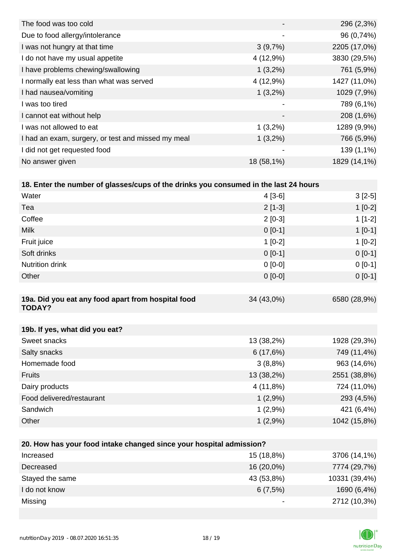| The food was too cold                              |                          | 296 (2,3%)   |
|----------------------------------------------------|--------------------------|--------------|
| Due to food allergy/intolerance                    | $\overline{\phantom{a}}$ | 96 (0,74%)   |
| I was not hungry at that time                      | 3(9,7%)                  | 2205 (17,0%) |
| I do not have my usual appetite                    | 4 (12,9%)                | 3830 (29,5%) |
| I have problems chewing/swallowing                 | $1(3,2\%)$               | 761 (5,9%)   |
| I normally eat less than what was served           | 4(12,9%)                 | 1427 (11,0%) |
| I had nausea/vomiting                              | $1(3,2\%)$               | 1029 (7,9%)  |
| I was too tired                                    | $\overline{\phantom{a}}$ | 789 (6,1%)   |
| I cannot eat without help                          | $\blacksquare$           | 208 (1,6%)   |
| I was not allowed to eat                           | $1(3,2\%)$               | 1289 (9,9%)  |
| I had an exam, surgery, or test and missed my meal | $1(3,2\%)$               | 766 (5,9%)   |
| I did not get requested food                       | -                        | 139 (1,1%)   |
| No answer given                                    | 18 (58,1%)               | 1829 (14,1%) |
|                                                    |                          |              |

|  |  |  |  | 18. Enter the number of glasses/cups of the drinks you consumed in the last 24 hours |
|--|--|--|--|--------------------------------------------------------------------------------------|
|--|--|--|--|--------------------------------------------------------------------------------------|

| Water                                                               | $4[3-6]$   | $3[2-5]$     |  |  |
|---------------------------------------------------------------------|------------|--------------|--|--|
| Tea                                                                 | $2[1-3]$   | $1[0-2]$     |  |  |
| Coffee                                                              | $2[0-3]$   | $1[1-2]$     |  |  |
| <b>Milk</b>                                                         | $0 [0-1]$  | $1[0-1]$     |  |  |
| Fruit juice                                                         | $1[0-2]$   | $1[0-2]$     |  |  |
| Soft drinks                                                         | $0 [0-1]$  | $0[0-1]$     |  |  |
| <b>Nutrition drink</b>                                              | $0[0-0]$   | $0[0-1]$     |  |  |
| Other                                                               | $0[0-0]$   | $0[0-1]$     |  |  |
|                                                                     |            |              |  |  |
| 19a. Did you eat any food apart from hospital food<br><b>TODAY?</b> | 34 (43,0%) | 6580 (28,9%) |  |  |
|                                                                     |            |              |  |  |
| 19b. If yes, what did you eat?                                      |            |              |  |  |
| Sweet snacks                                                        | 13 (38,2%) | 1928 (29,3%) |  |  |
| Salty snacks                                                        | 6(17,6%)   | 749 (11,4%)  |  |  |
| Homemade food                                                       | 3(8,8%)    | 963 (14,6%)  |  |  |
| <b>Fruits</b>                                                       | 13 (38,2%) | 2551 (38,8%) |  |  |
| Dairy products                                                      | 4 (11,8%)  | 724 (11,0%)  |  |  |
| Food delivered/restaurant                                           | 1(2,9%)    | 293 (4,5%)   |  |  |
| Sandwich                                                            | 1(2,9%)    | 421 (6,4%)   |  |  |
| Other                                                               | 1(2,9%)    | 1042 (15,8%) |  |  |
|                                                                     |            |              |  |  |
| 20. How has your food intake changed since your hospital admission? |            |              |  |  |
| Increased                                                           | 15 (18,8%) | 3706 (14,1%) |  |  |

| <b>Increased</b> | 15 (18.8%) | $3706(14,1\%)$ |
|------------------|------------|----------------|
| Decreased        | 16 (20,0%) | 7774 (29,7%)   |
| Stayed the same  | 43 (53,8%) | 10331 (39,4%)  |
| I do not know    | 6(7,5%)    | 1690 (6,4%)    |
| Missing          | -          | 2712 (10,3%)   |